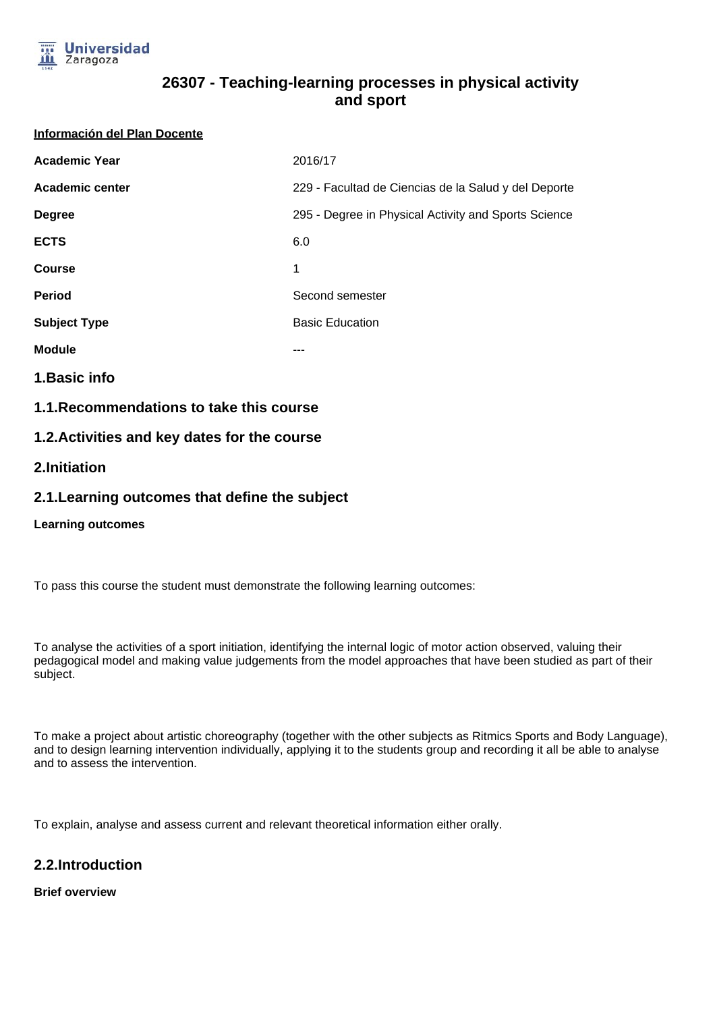

#### **Información del Plan Docente**

| <b>Academic Year</b> | 2016/17                                              |
|----------------------|------------------------------------------------------|
| Academic center      | 229 - Facultad de Ciencias de la Salud y del Deporte |
| <b>Degree</b>        | 295 - Degree in Physical Activity and Sports Science |
| <b>ECTS</b>          | 6.0                                                  |
| <b>Course</b>        | 1                                                    |
| <b>Period</b>        | Second semester                                      |
| <b>Subject Type</b>  | <b>Basic Education</b>                               |
| <b>Module</b>        | ---                                                  |
|                      |                                                      |

**1.Basic info**

**1.1.Recommendations to take this course**

# **1.2.Activities and key dates for the course**

# **2.Initiation**

# **2.1.Learning outcomes that define the subject**

## **Learning outcomes**

To pass this course the student must demonstrate the following learning outcomes:

To analyse the activities of a sport initiation, identifying the internal logic of motor action observed, valuing their pedagogical model and making value judgements from the model approaches that have been studied as part of their subject.

To make a project about artistic choreography (together with the other subjects as Ritmics Sports and Body Language), and to design learning intervention individually, applying it to the students group and recording it all be able to analyse and to assess the intervention.

To explain, analyse and assess current and relevant theoretical information either orally.

# **2.2.Introduction**

## **Brief overview**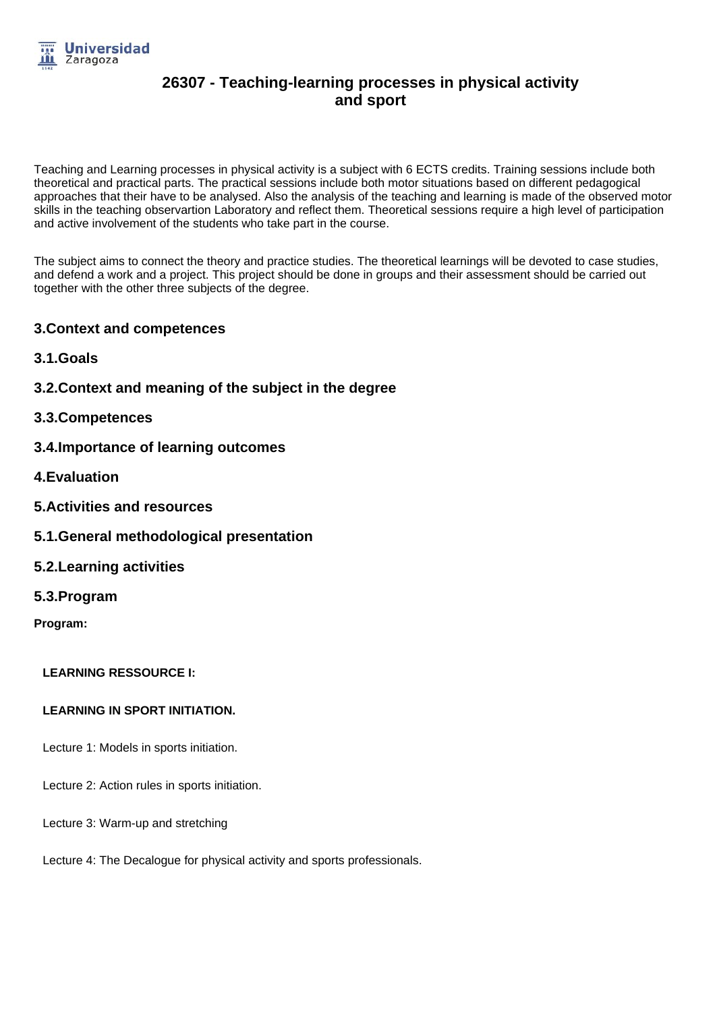

Teaching and Learning processes in physical activity is a subject with 6 ECTS credits. Training sessions include both theoretical and practical parts. The practical sessions include both motor situations based on different pedagogical approaches that their have to be analysed. Also the analysis of the teaching and learning is made of the observed motor skills in the teaching observartion Laboratory and reflect them. Theoretical sessions require a high level of participation and active involvement of the students who take part in the course.

The subject aims to connect the theory and practice studies. The theoretical learnings will be devoted to case studies, and defend a work and a project. This project should be done in groups and their assessment should be carried out together with the other three subjects of the degree.

# **3.Context and competences**

- **3.1.Goals**
- **3.2.Context and meaning of the subject in the degree**
- **3.3.Competences**
- **3.4.Importance of learning outcomes**
- **4.Evaluation**
- **5.Activities and resources**
- **5.1.General methodological presentation**
- **5.2.Learning activities**
- **5.3.Program**
- **Program:**

# **LEARNING RESSOURCE I:**

## **LEARNING IN SPORT INITIATION.**

- Lecture 1: Models in sports initiation.
- Lecture 2: Action rules in sports initiation.
- Lecture 3: Warm-up and stretching
- Lecture 4: The Decalogue for physical activity and sports professionals.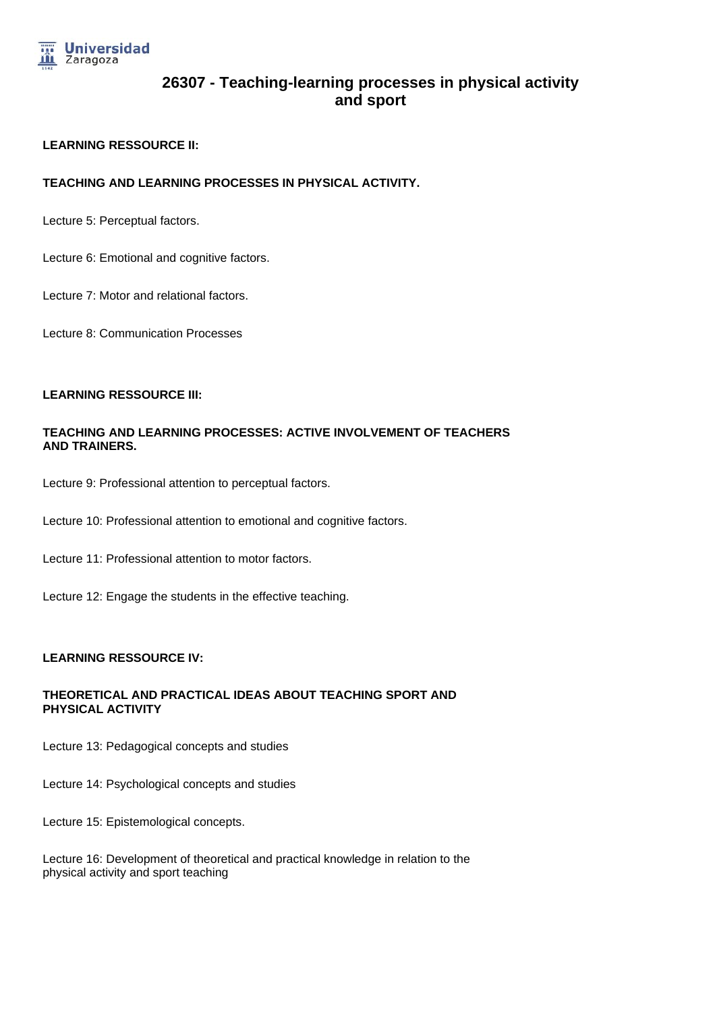

## **LEARNING RESSOURCE II:**

## **TEACHING AND LEARNING PROCESSES IN PHYSICAL ACTIVITY.**

Lecture 5: Perceptual factors.

Lecture 6: Emotional and cognitive factors.

Lecture 7: Motor and relational factors.

Lecture 8: Communication Processes

#### **LEARNING RESSOURCE III:**

## **TEACHING AND LEARNING PROCESSES: ACTIVE INVOLVEMENT OF TEACHERS AND TRAINERS.**

Lecture 9: Professional attention to perceptual factors.

Lecture 10: Professional attention to emotional and cognitive factors.

Lecture 11: Professional attention to motor factors.

Lecture 12: Engage the students in the effective teaching.

## **LEARNING RESSOURCE IV:**

## **THEORETICAL AND PRACTICAL IDEAS ABOUT TEACHING SPORT AND PHYSICAL ACTIVITY**

Lecture 13: Pedagogical concepts and studies

Lecture 14: Psychological concepts and studies

Lecture 15: Epistemological concepts.

Lecture 16: Development of theoretical and practical knowledge in relation to the physical activity and sport teaching